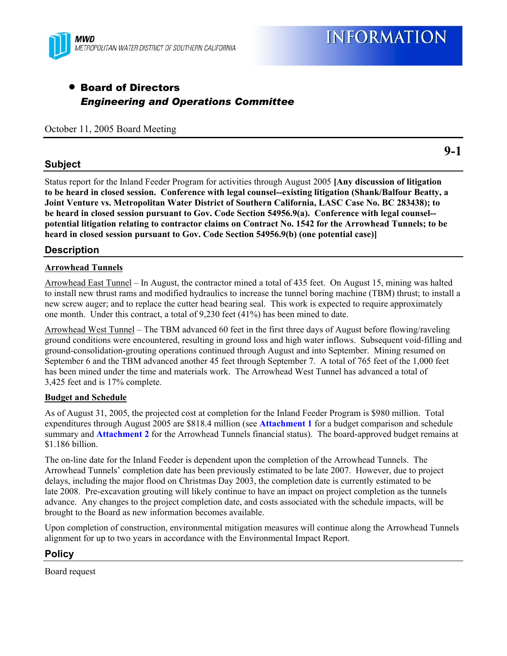

# • Board of Directors *Engineering and Operations Committee*

October 11, 2005 Board Meeting

### **Subject**

Status report for the Inland Feeder Program for activities through August 2005 **[Any discussion of litigation to be heard in closed session. Conference with legal counsel--existing litigation (Shank/Balfour Beatty, a Joint Venture vs. Metropolitan Water District of Southern California, LASC Case No. BC 283438); to be heard in closed session pursuant to Gov. Code Section 54956.9(a). Conference with legal counsel- potential litigation relating to contractor claims on Contract No. 1542 for the Arrowhead Tunnels; to be heard in closed session pursuant to Gov. Code Section 54956.9(b) (one potential case)]**

### **Description**

#### **Arrowhead Tunnels**

Arrowhead East Tunnel – In August, the contractor mined a total of 435 feet. On August 15, mining was halted to install new thrust rams and modified hydraulics to increase the tunnel boring machine (TBM) thrust; to install a new screw auger; and to replace the cutter head bearing seal. This work is expected to require approximately one month. Under this contract, a total of 9,230 feet (41%) has been mined to date.

Arrowhead West Tunnel – The TBM advanced 60 feet in the first three days of August before flowing/raveling ground conditions were encountered, resulting in ground loss and high water inflows. Subsequent void-filling and ground-consolidation-grouting operations continued through August and into September. Mining resumed on September 6 and the TBM advanced another 45 feet through September 7. A total of 765 feet of the 1,000 feet has been mined under the time and materials work. The Arrowhead West Tunnel has advanced a total of 3,425 feet and is 17% complete.

#### **Budget and Schedule**

As of August 31, 2005, the projected cost at completion for the Inland Feeder Program is \$980 million. Total expenditures through August 2005 are \$818.4 million (see **Attachment 1** for a budget comparison and schedule summary and **Attachment 2** for the Arrowhead Tunnels financial status). The board-approved budget remains at \$1.186 billion.

The on-line date for the Inland Feeder is dependent upon the completion of the Arrowhead Tunnels. The Arrowhead Tunnels' completion date has been previously estimated to be late 2007. However, due to project delays, including the major flood on Christmas Day 2003, the completion date is currently estimated to be late 2008. Pre-excavation grouting will likely continue to have an impact on project completion as the tunnels advance. Any changes to the project completion date, and costs associated with the schedule impacts, will be brought to the Board as new information becomes available.

Upon completion of construction, environmental mitigation measures will continue along the Arrowhead Tunnels alignment for up to two years in accordance with the Environmental Impact Report.

### **Policy**

Board request

**9-1**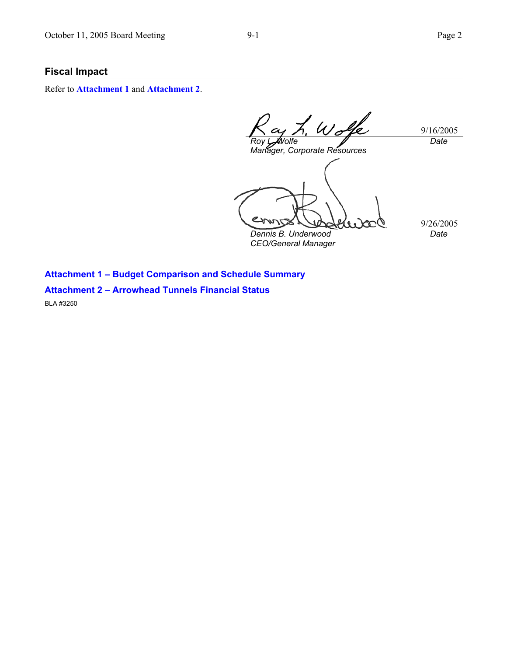## **Fiscal Impact**

Refer to **Attachment 1** and **Attachment 2**.

Wolfe 9/16/2005 *Roy L. Wolfe Date Manager, Corporate Resources*  9/26/2005 *Dennis B. Underwood Date* 

*CEO/General Manager* 

**Attachment 1 – Budget Comparison and Schedule Summary** 

# **Attachment 2 – Arrowhead Tunnels Financial Status**

BLA #3250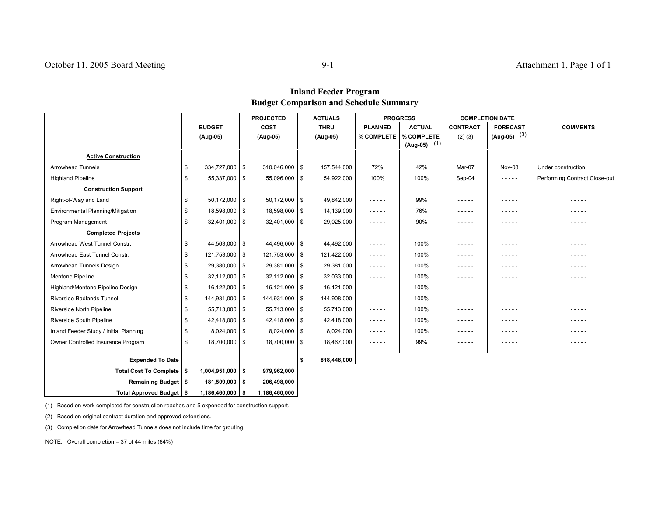### **Inland Feeder Program Budget Comparison and Schedule Summary**

|                                        |    |                    | <b>PROJECTED</b> |               | <b>ACTUALS</b> |             | <b>PROGRESS</b>                                                                                                                                                                                                                                                                                                                                                                              |                | <b>COMPLETION DATE</b> |                 |                               |
|----------------------------------------|----|--------------------|------------------|---------------|----------------|-------------|----------------------------------------------------------------------------------------------------------------------------------------------------------------------------------------------------------------------------------------------------------------------------------------------------------------------------------------------------------------------------------------------|----------------|------------------------|-----------------|-------------------------------|
|                                        |    | <b>BUDGET</b>      |                  | <b>COST</b>   |                | <b>THRU</b> | <b>PLANNED</b>                                                                                                                                                                                                                                                                                                                                                                               | <b>ACTUAL</b>  | <b>CONTRACT</b>        | <b>FORECAST</b> | <b>COMMENTS</b>               |
|                                        |    | (Aug-05)           |                  | (Aug-05)      |                | (Aug-05)    | % COMPLETE                                                                                                                                                                                                                                                                                                                                                                                   | % COMPLETE     | $(2)$ $(3)$            | $(Aug-05)$ (3)  |                               |
|                                        |    |                    |                  |               |                |             |                                                                                                                                                                                                                                                                                                                                                                                              | $(Aug-05)$ (1) |                        |                 |                               |
| <b>Active Construction</b>             |    |                    |                  |               |                |             |                                                                                                                                                                                                                                                                                                                                                                                              |                |                        |                 |                               |
| <b>Arrowhead Tunnels</b>               | \$ | 334,727,000 \$     |                  | 310,046,000   | \$             | 157,544,000 | 72%                                                                                                                                                                                                                                                                                                                                                                                          | 42%            | Mar-07                 | Nov-08          | Under construction            |
| <b>Highland Pipeline</b>               | \$ | $55,337,000$ \ \$  |                  | 55,096,000    | \$             | 54,922,000  | 100%                                                                                                                                                                                                                                                                                                                                                                                         | 100%           | Sep-04                 | $- - - - -$     | Performing Contract Close-out |
| <b>Construction Support</b>            |    |                    |                  |               |                |             |                                                                                                                                                                                                                                                                                                                                                                                              |                |                        |                 |                               |
| Right-of-Way and Land                  | \$ | $50,172,000$ \ \$  |                  | 50,172,000    | \$             | 49,842,000  | $- - - - -$                                                                                                                                                                                                                                                                                                                                                                                  | 99%            | -----                  | $- - - - -$     | -----                         |
| Environmental Planning/Mitigation      | \$ | 18,598,000   \$    |                  | 18,598,000    | \$             | 14,139,000  | $- - - - -$                                                                                                                                                                                                                                                                                                                                                                                  | 76%            | - - - - -              | -----           | - - - - -                     |
| Program Management                     | \$ | $32,401,000$ \ \$  |                  | 32,401,000    | \$             | 29,025,000  | $- - - - -$                                                                                                                                                                                                                                                                                                                                                                                  | 90%            | - - - - -              | $- - - - -$     | -----                         |
| <b>Completed Projects</b>              |    |                    |                  |               |                |             |                                                                                                                                                                                                                                                                                                                                                                                              |                |                        |                 |                               |
| Arrowhead West Tunnel Constr.          | \$ | $44,563,000$ \$    |                  | 44,496,000 \$ |                | 44,492,000  | $- - - - -$                                                                                                                                                                                                                                                                                                                                                                                  | 100%           | -----                  | -----           | -----                         |
| Arrowhead East Tunnel Constr.          | \$ | 121,753,000 \$     |                  | 121,753,000   | \$             | 121,422,000 | $\frac{1}{2} \frac{1}{2} \frac{1}{2} \frac{1}{2} \frac{1}{2} \frac{1}{2} \frac{1}{2} \frac{1}{2} \frac{1}{2} \frac{1}{2} \frac{1}{2} \frac{1}{2} \frac{1}{2} \frac{1}{2} \frac{1}{2} \frac{1}{2} \frac{1}{2} \frac{1}{2} \frac{1}{2} \frac{1}{2} \frac{1}{2} \frac{1}{2} \frac{1}{2} \frac{1}{2} \frac{1}{2} \frac{1}{2} \frac{1}{2} \frac{1}{2} \frac{1}{2} \frac{1}{2} \frac{1}{2} \frac{$ | 100%           | -----                  | -----           | - - - - -                     |
| Arrowhead Tunnels Design               | \$ | $29,380,000$ \ \$  |                  | 29,381,000    | \$             | 29,381,000  | $- - - - -$                                                                                                                                                                                                                                                                                                                                                                                  | 100%           | -----                  | -----           | -----                         |
| Mentone Pipeline                       | \$ | $32,112,000$ \$    |                  | 32,112,000    | \$             | 32,033,000  | $- - - - -$                                                                                                                                                                                                                                                                                                                                                                                  | 100%           | -----                  | $- - - - -$     | -----                         |
| Highland/Mentone Pipeline Design       | \$ | $16, 122, 000$ \$  |                  | 16,121,000    | \$             | 16,121,000  | $- - - - -$                                                                                                                                                                                                                                                                                                                                                                                  | 100%           | - - - - -              | -----           | -----                         |
| Riverside Badlands Tunnel              | \$ | 144,931,000 \$     |                  | 144,931,000   | \$             | 144,908,000 | $- - - - -$                                                                                                                                                                                                                                                                                                                                                                                  | 100%           | -----                  | -----           | -----                         |
| Riverside North Pipeline               | \$ | $55,713,000$ \$    |                  | 55,713,000    | \$             | 55,713,000  | $- - - - -$                                                                                                                                                                                                                                                                                                                                                                                  | 100%           | -----                  | -----           | -----                         |
| Riverside South Pipeline               | \$ | $42,418,000$ \$    |                  | 42,418,000    | \$             | 42,418,000  | $- - - - -$                                                                                                                                                                                                                                                                                                                                                                                  | 100%           | -----                  | $- - - - -$     | -----                         |
| Inland Feeder Study / Initial Planning | \$ | $8,024,000$ \ \$   |                  | 8,024,000     | \$             | 8,024,000   | $- - - - -$                                                                                                                                                                                                                                                                                                                                                                                  | 100%           | - - - - -              | - - - - -       | -----                         |
| Owner Controlled Insurance Program     | \$ | 18,700,000 \$      |                  | 18,700,000    | \$             | 18,467,000  | $- - - - -$                                                                                                                                                                                                                                                                                                                                                                                  | 99%            | $- - - - -$            | $- - - - -$     | -----                         |
| <b>Expended To Date</b>                |    |                    |                  |               | s.             | 818,448,000 |                                                                                                                                                                                                                                                                                                                                                                                              |                |                        |                 |                               |
| Total Cost To Complete   \$            |    | $1,004,951,000$ \$ |                  | 979,962,000   |                |             |                                                                                                                                                                                                                                                                                                                                                                                              |                |                        |                 |                               |
| Remaining Budget   \$                  |    | 181,509,000 \$     |                  | 206,498,000   |                |             |                                                                                                                                                                                                                                                                                                                                                                                              |                |                        |                 |                               |
| Total Approved Budget   \$             |    | $1,186,460,000$ \$ |                  | 1,186,460,000 |                |             |                                                                                                                                                                                                                                                                                                                                                                                              |                |                        |                 |                               |

(1) Based on work completed for construction reaches and \$ expended for construction support.

(2) Based on original contract duration and approved extensions.

(3) Completion date for Arrowhead Tunnels does not include time for grouting.

NOTE: Overall completion = 37 of 44 miles (84%)